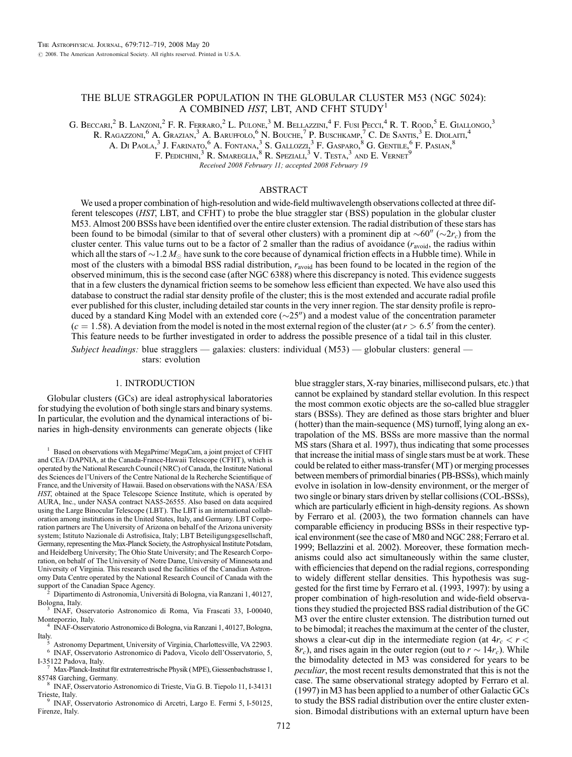# THE BLUE STRAGGLER POPULATION IN THE GLOBULAR CLUSTER M53 (NGC 5024): A COMBINED HST, LBT, AND CFHT STUDY<sup>1</sup>

G. Beccarl<sup>2</sup> B. Lanzoni,<sup>2</sup> F. R. Ferraro,<sup>2</sup> L. Pulone,<sup>3</sup> M. Bellazzini,<sup>4</sup> F. Fusi Pecci,<sup>4</sup> R. T. Rood,<sup>5</sup> E. Giallongo,<sup>3</sup>

R. Ragazzoni, <sup>6</sup> A. Grazian, <sup>3</sup> A. Baruffolo, <sup>6</sup> N. Bouche, <sup>7</sup> P. Buschkamp, <sup>7</sup> C. De Santis, <sup>3</sup> E. Diolaiti, 4

A. Di Paola, $^3$  J. Farinato,  $^6$  A. Fontana,  $^3$  S. Gallozzi,  $^3$  F. Gasparo,  $^8$  G. Gentile,  $^6$  F. Pasian,  $^8$ 

F. Pedichini, $\overline{\textbf{3}}$  R. Smareglia,  $\overline{\textbf{8}}$  R. Speziali,  $\overline{\textbf{3}}$  V. Testa,  $\overline{\textbf{3}}$  and E. Vernet  $\overline{\textbf{9}}$ 

Recei*v*ed 2008 February 11; accepted 2008 February 19

## ABSTRACT

We used a proper combination of high-resolution and wide-field multiwavelength observations collected at three different telescopes (HST, LBT, and CFHT) to probe the blue straggler star (BSS) population in the globular cluster M53. Almost 200 BSSs have been identified over the entire cluster extension. The radial distribution of these stars has been found to be bimodal (similar to that of several other clusters) with a prominent dip at  $\sim 60''$  ( $\sim 2r_c$ ) from the cluster center. This value turns out to be a factor of 2 smaller than the radius of avoidance ( $r_{\text{avoid}}$ , the radius within which all the stars of  $\sim$  1.2  $M_\odot$  have sunk to the core because of dynamical friction effects in a Hubble time). While in most of the clusters with a bimodal BSS radial distribution,  $r_{\text{avoid}}$  has been found to be located in the region of the observed minimum, this is the second case (after NGC 6388) where this discrepancy is noted. This evidence suggests that in a few clusters the dynamical friction seems to be somehow less efficient than expected. We have also used this database to construct the radial star density profile of the cluster; this is the most extended and accurate radial profile ever published for this cluster, including detailed star counts in the very inner region. The star density profile is reproduced by a standard King Model with an extended core  $(\sim 25'')$  and a modest value of the concentration parameter  $(c = 1.58)$ . A deviation from the model is noted in the most external region of the cluster (at  $r > 6.5'$  from the center). This feature needs to be further investigated in order to address the possible presence of a tidal tail in this cluster.

Subject headings: blue stragglers — galaxies: clusters: individual  $(M53)$  — globular clusters: general stars: evolution

## 1. INTRODUCTION

Globular clusters (GCs) are ideal astrophysical laboratories for studying the evolution of both single stars and binary systems. In particular, the evolution and the dynamical interactions of binaries in high-density environments can generate objects (like

 $1$  Based on observations with MegaPrime/MegaCam, a joint project of CFHT and CEA/ DAPNIA, at the Canada-France-Hawaii Telescope (CFHT), which is operated by the National Research Council (NRC) of Canada, the Institute National des Sciences de l'Univers of the Centre National de la Recherche Scientifique of France, and the University of Hawaii. Based on observations with the NASA/ESA HST, obtained at the Space Telescope Science Institute, which is operated by AURA, Inc., under NASA contract NAS5-26555. Also based on data acquired using the Large Binocular Telescope ( LBT ). The LBT is an international collaboration among institutions in the United States, Italy, and Germany. LBT Corporation partners are The University of Arizona on behalf of the Arizona university system; Istituto Nazionale di Astrofisica, Italy; LBT Beteiligungsgesellschaft, Germany, representing the Max-Planck Society, the Astrophysical Institute Potsdam, and Heidelberg University; The Ohio State University; and The Research Corporation, on behalf of The University of Notre Dame, University of Minnesota and University of Virginia. This research used the facilities of the Canadian Astronomy Data Centre operated by the National Research Council of Canada with the

support of the Canadian Space Agency. <sup>2</sup> Dipartimento di Astronomia, Universita` di Bologna, via Ranzani 1, 40127, Bologna, Italy. <sup>3</sup> INAF, Osservatorio Astronomico di Roma, Via Frascati 33, I-00040,

Monteporzio, Italy. <sup>4</sup> INAF-Osservatorio Astronomico di Bologna, via Ranzani 1, 40127, Bologna,

Italy.<br>
<sup>5</sup> Astronomy Department, University of Virginia, Charlottesville, VA 22903.<br>
<sup>6</sup> INAF, Osservatorio Astronomico di Padova, Vicolo dell'Osservatorio, 5,<br>
I-35122 Padova, Italy.<br>
<sup>7</sup> Mov Planek Indiction.

Max-Planck-Institut für extraterrestrische Physik (MPE), Giessenbachstrasse 1, 85748 Garching, Germany. <sup>8</sup> INAF, Osservatorio Astronomico di Trieste, Via G. B. Tiepolo 11, I-34131

Trieste, Italy. <sup>9</sup> INAF, Osservatorio Astronomico di Arcetri, Largo E. Fermi 5, I-50125,

Firenze, Italy.

blue straggler stars, X-ray binaries, millisecond pulsars, etc.) that cannot be explained by standard stellar evolution. In this respect the most common exotic objects are the so-called blue straggler stars (BSSs). They are defined as those stars brighter and bluer (hotter) than the main-sequence (MS) turnoff, lying along an extrapolation of the MS. BSSs are more massive than the normal MS stars (Shara et al. 1997), thus indicating that some processes that increase the initial mass of single stars must be at work. These could be related to either mass-transfer (MT) or merging processes between members of primordial binaries (PB-BSSs), which mainly evolve in isolation in low-density environment, or the merger of two single or binary stars driven by stellar collisions (COL-BSSs), which are particularly efficient in high-density regions. As shown by Ferraro et al. (2003), the two formation channels can have comparable efficiency in producing BSSs in their respective typical environment (see the case of M80 and NGC 288; Ferraro et al. 1999; Bellazzini et al. 2002). Moreover, these formation mechanisms could also act simultaneously within the same cluster, with efficiencies that depend on the radial regions, corresponding to widely different stellar densities. This hypothesis was suggested for the first time by Ferraro et al. (1993, 1997): by using a proper combination of high-resolution and wide-field observations they studied the projected BSS radial distribution of the GC M3 over the entire cluster extension. The distribution turned out to be bimodal; it reaches the maximum at the center of the cluster, shows a clear-cut dip in the intermediate region (at  $4r_c < r <$  $8r_c$ ), and rises again in the outer region (out to  $r \sim 14r_c$ ). While the bimodality detected in M3 was considered for years to be peculiar, the most recent results demonstrated that this is not the case. The same observational strategy adopted by Ferraro et al. (1997) in M3 has been applied to a number of other Galactic GCs to study the BSS radial distribution over the entire cluster extension. Bimodal distributions with an external upturn have been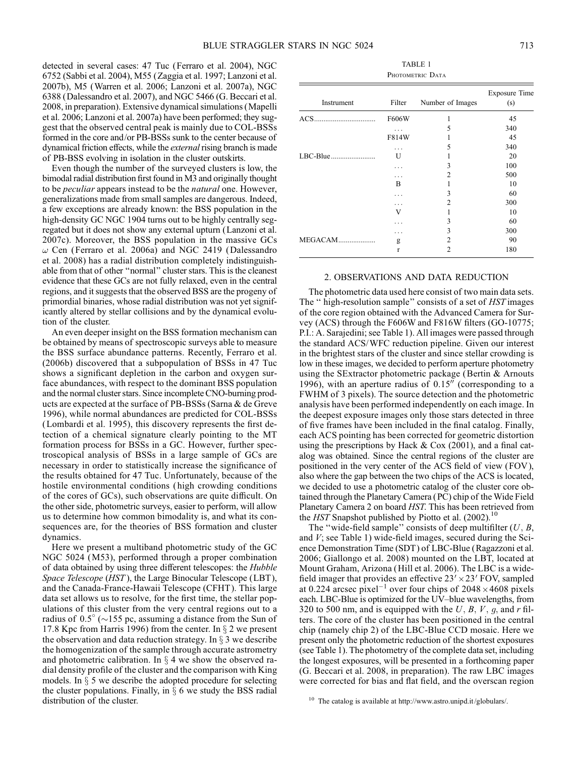detected in several cases: 47 Tuc (Ferraro et al. 2004), NGC 6752 (Sabbi et al. 2004), M55 (Zaggia et al. 1997; Lanzoni et al. 2007b), M5 (Warren et al. 2006; Lanzoni et al. 2007a), NGC 6388 (Dalessandro et al. 2007), and NGC 5466 (G. Beccari et al. 2008, in preparation). Extensive dynamical simulations (Mapelli et al. 2006; Lanzoni et al. 2007a) have been performed; they suggest that the observed central peak is mainly due to COL-BSSs formed in the core and/or PB-BSSs sunk to the center because of dynamical friction effects, while the external rising branch is made of PB-BSS evolving in isolation in the cluster outskirts.

Even though the number of the surveyed clusters is low, the bimodal radial distribution first found in M3 and originally thought to be peculiar appears instead to be the natural one. However, generalizations made from small samples are dangerous. Indeed, a few exceptions are already known: the BSS population in the high-density GC NGC 1904 turns out to be highly centrally segregated but it does not show any external upturn (Lanzoni et al. 2007c). Moreover, the BSS population in the massive GCs  $\omega$  Cen (Ferraro et al. 2006a) and NGC 2419 (Dalessandro et al. 2008) has a radial distribution completely indistinguishable from that of other ''normal'' cluster stars. This is the cleanest evidence that these GCs are not fully relaxed, even in the central regions, and it suggests that the observed BSS are the progeny of primordial binaries, whose radial distribution was not yet significantly altered by stellar collisions and by the dynamical evolution of the cluster.

An even deeper insight on the BSS formation mechanism can be obtained by means of spectroscopic surveys able to measure the BSS surface abundance patterns. Recently, Ferraro et al. (2006b) discovered that a subpopulation of BSSs in 47 Tuc shows a significant depletion in the carbon and oxygen surface abundances, with respect to the dominant BSS population and the normal cluster stars. Since incomplete CNO-burning products are expected at the surface of PB-BSSs (Sarna & de Greve 1996), while normal abundances are predicted for COL-BSSs (Lombardi et al. 1995), this discovery represents the first detection of a chemical signature clearly pointing to the MT formation process for BSSs in a GC. However, further spectroscopical analysis of BSSs in a large sample of GCs are necessary in order to statistically increase the significance of the results obtained for 47 Tuc. Unfortunately, because of the hostile environmental conditions ( high crowding conditions of the cores of GCs), such observations are quite difficult. On the other side, photometric surveys, easier to perform, will allow us to determine how common bimodality is, and what its consequences are, for the theories of BSS formation and cluster dynamics.

Here we present a multiband photometric study of the GC NGC 5024 (M53), performed through a proper combination of data obtained by using three different telescopes: the Hubble Space Telescope (HST), the Large Binocular Telescope (LBT), and the Canada-France-Hawaii Telescope (CFHT ). This large data set allows us to resolve, for the first time, the stellar populations of this cluster from the very central regions out to a radius of  $0.5^{\circ}$  ( $\sim$ 155 pc, assuming a distance from the Sun of 17.8 Kpc from Harris 1996) from the center. In  $\S 2$  we present the observation and data reduction strategy. In  $\S$  3 we describe the homogenization of the sample through accurate astrometry and photometric calibration. In  $\S$  4 we show the observed radial density profile of the cluster and the comparison with King models. In  $\S$  5 we describe the adopted procedure for selecting the cluster populations. Finally, in  $\S$  6 we study the BSS radial distribution of the cluster.

| TABLE 1          |
|------------------|
| PHOTOMETRIC DATA |

| Instrument     | Filter       | Number of Images | <b>Exposure Time</b><br>(s) |
|----------------|--------------|------------------|-----------------------------|
|                | F606W        | 1                | 45                          |
|                |              | 5                | 340                         |
|                | F814W        |                  | 45                          |
|                | .            | 5                | 340                         |
|                | U            |                  | 20                          |
|                |              | 3                | 100                         |
|                | .            | 2                | 500                         |
|                | B            | 1                | 10                          |
|                |              | 3                | 60                          |
|                |              | 2                | 300                         |
|                | V            | 1                | 10                          |
|                |              | 3                | 60                          |
|                |              | 3                | 300                         |
| <b>MEGACAM</b> | g            | 2                | 90                          |
|                | $\mathbf{r}$ | $\mathfrak{D}$   | 180                         |

## 2. OBSERVATIONS AND DATA REDUCTION

The photometric data used here consist of two main data sets. The " high-resolution sample" consists of a set of HST images of the core region obtained with the Advanced Camera for Survey (ACS) through the F606W and F816W filters (GO-10775; P.I.: A. Sarajedini; see Table 1). All images were passed through the standard ACS/WFC reduction pipeline. Given our interest in the brightest stars of the cluster and since stellar crowding is low in these images, we decided to perform aperture photometry using the SExtractor photometric package (Bertin & Arnouts 1996), with an aperture radius of  $0.15$ <sup>n</sup> (corresponding to a FWHM of 3 pixels). The source detection and the photometric analysis have been performed independently on each image. In the deepest exposure images only those stars detected in three of five frames have been included in the final catalog. Finally, each ACS pointing has been corrected for geometric distortion using the prescriptions by Hack  $& \text{Cox } (2001)$ , and a final catalog was obtained. Since the central regions of the cluster are positioned in the very center of the ACS field of view (FOV ), also where the gap between the two chips of the ACS is located, we decided to use a photometric catalog of the cluster core obtained through the Planetary Camera (PC) chip of the Wide Field Planetary Camera 2 on board HST. This has been retrieved from the HST Snapshot published by Piotto et al.  $(2002)$ <sup>10</sup>

The "wide-field sample" consists of deep multifilter  $(U, B, \mathbb{R})$ and  $V$ ; see Table 1) wide-field images, secured during the Science Demonstration Time (SDT ) of LBC-Blue (Ragazzoni et al. 2006; Giallongo et al. 2008) mounted on the LBT, located at Mount Graham, Arizona (Hill et al. 2006). The LBC is a widefield imager that provides an effective  $23' \times 23'$  FOV, sampled at 0.224 arcsec pixel<sup>-1</sup> over four chips of  $2048 \times 4608$  pixels each. LBC-Blue is optimized for the UV-blue wavelengths, from 320 to 500 nm, and is equipped with the  $U, B, V, g$ , and r filters. The core of the cluster has been positioned in the central chip (namely chip 2) of the LBC-Blue CCD mosaic. Here we present only the photometric reduction of the shortest exposures (see Table 1). The photometry of the complete data set, including the longest exposures, will be presented in a forthcoming paper (G. Beccari et al. 2008, in preparation). The raw LBC images were corrected for bias and flat field, and the overscan region

<sup>&</sup>lt;sup>10</sup> The catalog is available at http://www.astro.unipd.it/globulars/.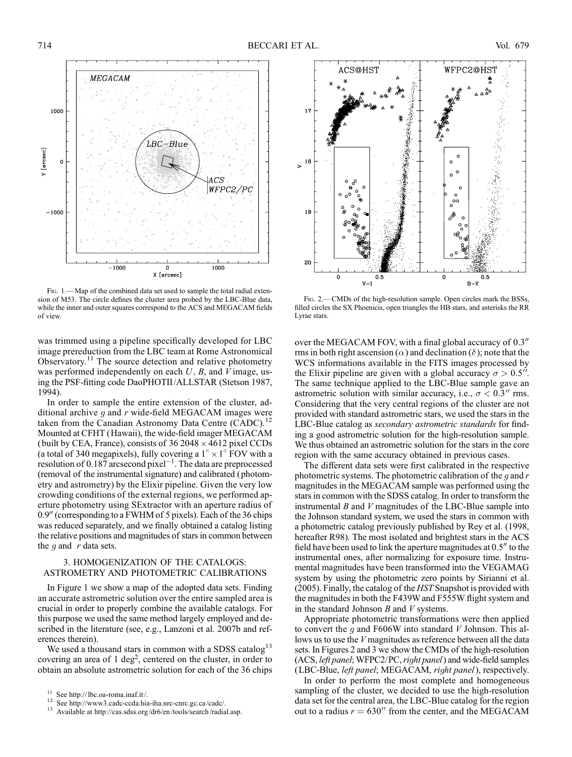

FIG. 1. - Map of the combined data set used to sample the total radial extension of M53. The circle defines the cluster area probed by the LBC-Blue data, while the inner and outer squares correspond to the ACS and MEGACAM fields of view.

was trimmed using a pipeline specifically developed for LBC image prereduction from the LBC team at Rome Astronomical Observatory.<sup>11</sup> The source detection and relative photometry was performed independently on each  $U$ ,  $B$ , and  $V$  image, using the PSF-fitting code DaoPHOTII/ALLSTAR (Stetson 1987, 1994).

In order to sample the entire extension of the cluster, additional archive  $q$  and  $r$  wide-field MEGACAM images were taken from the Canadian Astronomy Data Centre (CADC).<sup>12</sup> Mounted at CFHT (Hawaii), the wide-field imager MEGACAM (built by CEA, France), consists of  $36\,2048 \times 4612$  pixel CCDs (a total of 340 megapixels), fully covering a  $1^\circ \times 1^\circ$  FOV with a resolution of 0.187 arcsecond pixel<sup> $-1$ </sup>. The data are preprocessed (removal of the instrumental signature) and calibrated (photometry and astrometry) by the Elixir pipeline. Given the very low crowding conditions of the external regions, we performed aperture photometry using SExtractor with an aperture radius of  $0.9''$  (corresponding to a FWHM of 5 pixels). Each of the 36 chips was reduced separately, and we finally obtained a catalog listing the relative positions and magnitudes of stars in common between the  $q$  and  $r$  data sets.

## 3. HOMOGENIZATION OF THE CATALOGS: ASTROMETRY AND PHOTOMETRIC CALIBRATIONS

In Figure 1 we show a map of the adopted data sets. Finding an accurate astrometric solution over the entire sampled area is crucial in order to properly combine the available catalogs. For this purpose we used the same method largely employed and described in the literature (see, e.g., Lanzoni et al. 2007b and references therein).

We used a thousand stars in common with a SDSS catalog<sup>13</sup> covering an area of  $1 \text{ deg}^2$ , centered on the cluster, in order to obtain an absolute astrometric solution for each of the 36 chips



Fig. 2.—CMDs of the high-resolution sample. Open circles mark the BSSs, filled circles the SX Phoenicis, open triangles the HB stars, and asterisks the RR Lyrae stars.

over the MEGACAM FOV, with a final global accuracy of  $0.3<sup>′′</sup>$ rms in both right ascension ( $\alpha$ ) and declination ( $\delta$ ); note that the WCS informations available in the FITS images processed by the Elixir pipeline are given with a global accuracy  $\sigma > 0.5$ ". The same technique applied to the LBC-Blue sample gave an astrometric solution with similar accuracy, i.e.,  $\sigma$  < 0.3<sup>t</sup> rms. Considering that the very central regions of the cluster are not provided with standard astrometric stars, we used the stars in the LBC-Blue catalog as secondary astrometric standards for finding a good astrometric solution for the high-resolution sample. We thus obtained an astrometric solution for the stars in the core region with the same accuracy obtained in previous cases.

The different data sets were first calibrated in the respective photometric systems. The photometric calibration of the  $q$  and  $r$ magnitudes in the MEGACAM sample was performed using the stars in common with the SDSS catalog. In order to transform the instrumental  $B$  and  $V$  magnitudes of the LBC-Blue sample into the Johnson standard system, we used the stars in common with a photometric catalog previously published by Rey et al. (1998, hereafter R98). The most isolated and brightest stars in the ACS field have been used to link the aperture magnitudes at  $0.5<sup>7</sup>$  to the instrumental ones, after normalizing for exposure time. Instrumental magnitudes have been transformed into the VEGAMAG system by using the photometric zero points by Sirianni et al. (2005). Finally, the catalog of the HST Snapshot is provided with the magnitudes in both the F439W and F555W flight system and in the standard Johnson  $B$  and  $V$  systems.

Appropriate photometric transformations were then applied to convert the  $g$  and F606W into standard  $V$  Johnson. This allows us to use the V magnitudes as reference between all the data sets. In Figures 2 and 3 we show the CMDs of the high-resolution (ACS, left panel; WFPC2/PC, right panel) and wide-field samples (LBC-Blue, left panel; MEGACAM, right panel), respectively.

In order to perform the most complete and homogeneous sampling of the cluster, we decided to use the high-resolution data set for the central area, the LBC-Blue catalog for the region out to a radius  $r = 630''$  from the center, and the MEGACAM

<sup>&</sup>lt;sup>11</sup> See http:// lbc.oa-roma.inaf.it /.<br><sup>12</sup> See http://www3.cadc-ccda.hia-iha.nrc-cnrc.gc.ca/cadc/.<br><sup>13</sup> Available at http://cas.sdss.org/dr6/en/tools/search/radial.asp.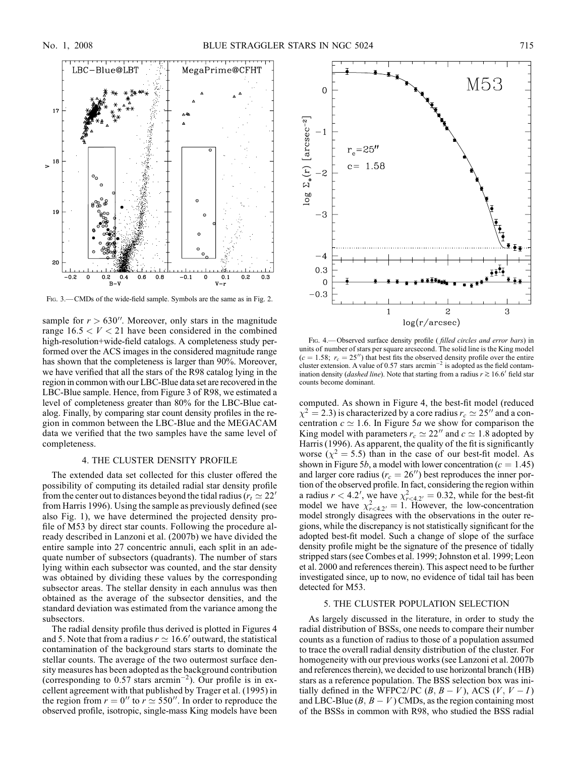

FIG. 3.—CMDs of the wide-field sample. Symbols are the same as in Fig. 2.

sample for  $r > 630''$ . Moreover, only stars in the magnitude range  $16.5 < V < 21$  have been considered in the combined high-resolution+wide-field catalogs. A completeness study performed over the ACS images in the considered magnitude range has shown that the completeness is larger than 90%. Moreover, we have verified that all the stars of the R98 catalog lying in the region in common with our LBC-Blue data set are recovered in the LBC-Blue sample. Hence, from Figure 3 of R98, we estimated a level of completeness greater than 80% for the LBC-Blue catalog. Finally, by comparing star count density profiles in the region in common between the LBC-Blue and the MEGACAM data we verified that the two samples have the same level of completeness.

# 4. THE CLUSTER DENSITY PROFILE

The extended data set collected for this cluster offered the possibility of computing its detailed radial star density profile from the center out to distances beyond the tidal radius ( $r_t \approx 22$ ' from Harris 1996). Using the sample as previously defined (see also Fig. 1), we have determined the projected density profile of M53 by direct star counts. Following the procedure already described in Lanzoni et al. (2007b) we have divided the entire sample into 27 concentric annuli, each split in an adequate number of subsectors (quadrants). The number of stars lying within each subsector was counted, and the star density was obtained by dividing these values by the corresponding subsector areas. The stellar density in each annulus was then obtained as the average of the subsector densities, and the standard deviation was estimated from the variance among the subsectors.

The radial density profile thus derived is plotted in Figures 4 and 5. Note that from a radius  $r \approx 16.6'$  outward, the statistical contamination of the background stars starts to dominate the stellar counts. The average of the two outermost surface density measures has been adopted asthe background contribution (corresponding to 0.57 stars arcmin<sup>-2</sup>). Our profile is in excellent agreement with that published by Trager et al. (1995) in the region from  $r = 0''$  to  $r \approx 550''$ . In order to reproduce the observed profile, isotropic, single-mass King models have been



FIG. 4.—Observed surface density profile (*filled circles and error bars*) in units of number of stars per square arcsecond. The solid line is the King model  $(c = 1.58; r_c = 25'')$  that best fits the observed density profile over the entire cluster extension. A value of 0.57 stars arcmin<sup>-2</sup> is adopted as the field contamination density (*dashed line*). Note that starting from a radius  $r \gtrsim 16.6'$  field star counts become dominant.

computed. As shown in Figure 4, the best-fit model (reduced  $\chi^2 = 2.3$ ) is characterized by a core radius  $r_c \simeq 25''$  and a concentration  $c \approx 1.6$ . In Figure 5a we show for comparison the King model with parameters  $r_c \simeq 22''$  and  $c \simeq 1.8$  adopted by Harris (1996). As apparent, the quality of the fit is significantly worse  $(\chi^2 = 5.5)$  than in the case of our best-fit model. As shown in Figure 5*b*, a model with lower concentration ( $c = 1.45$ ) and larger core radius ( $r_c = 26$ ) best reproduces the inner portion of the observed profile. In fact, considering the region within a radius  $r < 4.2'$ , we have  $\chi^2_{r<4.2'} = 0.32$ , while for the best-fit model we have  $\chi^2_{r<4.2'}=1$ . However, the low-concentration model strongly disagrees with the observations in the outer regions, while the discrepancy is not statistically significant for the adopted best-fit model. Such a change of slope of the surface density profile might be the signature of the presence of tidally stripped stars (see Combes et al. 1999; Johnston et al. 1999; Leon et al. 2000 and references therein). This aspect need to be further investigated since, up to now, no evidence of tidal tail has been detected for M53.

# 5. THE CLUSTER POPULATION SELECTION

As largely discussed in the literature, in order to study the radial distribution of BSSs, one needs to compare their number counts as a function of radius to those of a population assumed to trace the overall radial density distribution of the cluster. For homogeneity with our previous works (see Lanzoni et al. 2007b and references therein), we decided to use horizontal branch (HB) stars as a reference population. The BSS selection box was initially defined in the WFPC2/PC  $(B, B - V)$ , ACS  $(V, V - I)$ and LBC-Blue  $(B, B - V)$  CMDs, as the region containing most of the BSSs in common with R98, who studied the BSS radial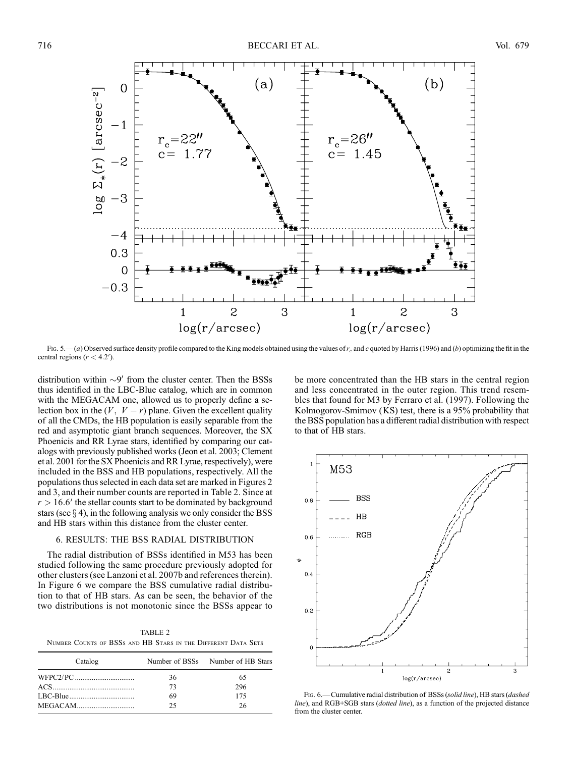

Fig. 5.—(a) Observed surface density profile compared to the King models obtained using the values of  $r_c$  and c quoted by Harris (1996) and (b) optimizing the fit in the central regions  $(r < 4.2')$ .

distribution within  $\sim$ 9' from the cluster center. Then the BSSs thus identified in the LBC-Blue catalog, which are in common with the MEGACAM one, allowed us to properly define a selection box in the  $(V, V - r)$  plane. Given the excellent quality of all the CMDs, the HB population is easily separable from the red and asymptotic giant branch sequences. Moreover, the SX Phoenicis and RR Lyrae stars, identified by comparing our catalogs with previously published works (Jeon et al. 2003; Clement et al. 2001 for the SX Phoenicis and RR Lyrae, respectively), were included in the BSS and HB populations, respectively. All the populations thus selected in each data set are marked in Figures 2 and 3, and their number counts are reported in Table 2. Since at  $r > 16.6'$  the stellar counts start to be dominated by background stars (see  $\S$  4), in the following analysis we only consider the BSS and HB stars within this distance from the cluster center.

## 6. RESULTS: THE BSS RADIAL DISTRIBUTION

The radial distribution of BSSs identified in M53 has been studied following the same procedure previously adopted for other clusters (see Lanzoni et al. 2007b and references therein). In Figure 6 we compare the BSS cumulative radial distribution to that of HB stars. As can be seen, the behavior of the two distributions is not monotonic since the BSSs appear to

TABLE 2 Number Counts of BSSs and HB Stars in the Different Data Sets

| Catalog |    | Number of BSSs Number of HB Stars |
|---------|----|-----------------------------------|
|         | 36 | 65                                |
|         | 73 | 296                               |
|         | 69 | 175                               |
|         | 25 | 26                                |

be more concentrated than the HB stars in the central region and less concentrated in the outer region. This trend resembles that found for M3 by Ferraro et al. (1997). Following the Kolmogorov-Smirnov (KS) test, there is a 95% probability that the BSS population has a different radial distribution with respect to that of HB stars.



Fig. 6.—Cumulative radial distribution of BSSs (solid line), HB stars (dashed line), and RGB+SGB stars (dotted line), as a function of the projected distance from the cluster center.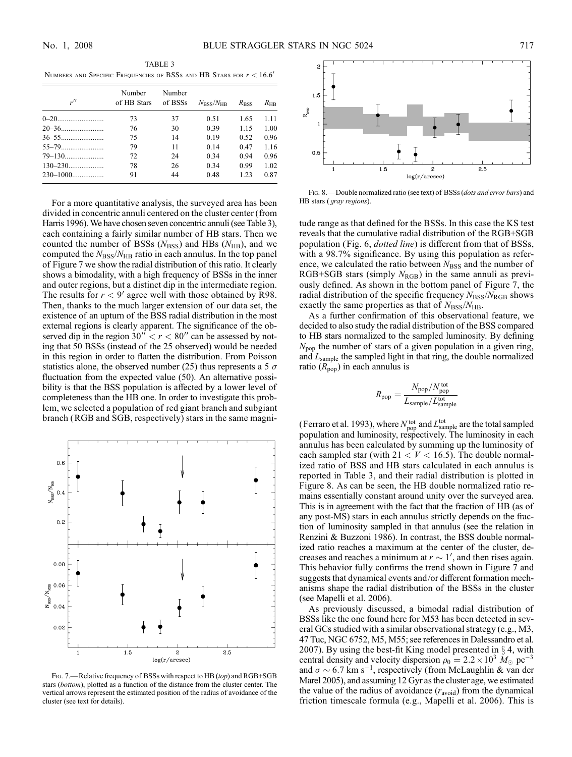| $\mu$ | Number<br>of HB Stars | Number<br>of BSSs | $N_{\rm BSS}/N_{\rm HB}$ | $R_{\rm BSS}$ | $R_{\rm HB}$ |
|-------|-----------------------|-------------------|--------------------------|---------------|--------------|
|       | 73                    | 37                | 0.51                     | 1.65          | 1.11         |
|       | 76                    | 30                | 0.39                     | 1.15          | 1.00         |
|       | 75                    | 14                | 0.19                     | 0.52          | 0.96         |
|       | 79                    | 11                | 0.14                     | 0.47          | 1.16         |
|       | 72                    | 24                | 0.34                     | 0.94          | 0.96         |
|       | 78                    | 26                | 0.34                     | 0.99          | 1.02         |
|       | 91                    | 44                | 0.48                     | 1.23          | 0.87         |

For a more quantitative analysis, the surveyed area has been divided in concentric annuli centered on the cluster center (from Harris 1996). We have chosen seven concentric annuli (see Table 3), each containing a fairly similar number of HB stars. Then we counted the number of BSSs  $(N<sub>BSS</sub>)$  and HBs  $(N<sub>HB</sub>)$ , and we computed the  $N<sub>BSS</sub>/N<sub>HB</sub>$  ratio in each annulus. In the top panel of Figure 7 we show the radial distribution of this ratio. It clearly shows a bimodality, with a high frequency of BSSs in the inner and outer regions, but a distinct dip in the intermediate region. The results for  $r < 9'$  agree well with those obtained by R98. Then, thanks to the much larger extension of our data set, the existence of an upturn of the BSS radial distribution in the most external regions is clearly apparent. The significance of the observed dip in the region  $30'' < r < 80''$  can be assessed by noting that 50 BSSs (instead of the 25 observed) would be needed in this region in order to flatten the distribution. From Poisson statistics alone, the observed number (25) thus represents a 5  $\sigma$ fluctuation from the expected value (50). An alternative possibility is that the BSS population is affected by a lower level of completeness than the HB one. In order to investigate this problem, we selected a population of red giant branch and subgiant branch (RGB and SGB, respectively) stars in the same magni-



FIG. 7. - Relative frequency of BSSs with respect to HB (top) and RGB+SGB stars (bottom), plotted as a function of the distance from the cluster center. The vertical arrows represent the estimated position of the radius of avoidance of the cluster (see text for details).



FIG. 8.— Double normalized ratio (see text) of BSSs (*dots and error bars*) and HB stars ( gray regions).

tude range as that defined for the BSSs. In this case the KS test reveals that the cumulative radial distribution of the RGB+SGB population (Fig. 6, *dotted line*) is different from that of BSSs, with a 98.7% significance. By using this population as reference, we calculated the ratio between  $N<sub>BSS</sub>$  and the number of RGB+SGB stars (simply  $N_{RGB}$ ) in the same annuli as previously defined. As shown in the bottom panel of Figure 7, the radial distribution of the specific frequency  $N_{\rm BSS}/N_{\rm RGB}$  shows exactly the same properties as that of  $N_{\rm BSS}/N_{\rm HB}$ .

As a further confirmation of this observational feature, we decided to also study the radial distribution of the BSS compared to HB stars normalized to the sampled luminosity. By defining  $N_{\text{pop}}$  the number of stars of a given population in a given ring, and  $L_{\text{sample}}$  the sampled light in that ring, the double normalized ratio  $(R_{\text{pop}})$  in each annulus is

$$
R_{\rm pop} = \frac{N_{\rm pop}/N_{\rm pop}^{\rm tot}}{L_{\rm sample}/L_{\rm sample}^{\rm tot}}
$$

(Ferraro et al. 1993), where  $N_{\text{pop}}^{\text{tot}}$  and  $L_{\text{sample}}^{\text{tot}}$  are the total sampled population and luminosity, respectively. The luminosity in each annulus has been calculated by summing up the luminosity of each sampled star (with  $21 < V < 16.5$ ). The double normalized ratio of BSS and HB stars calculated in each annulus is reported in Table 3, and their radial distribution is plotted in Figure 8. As can be seen, the HB double normalized ratio remains essentially constant around unity over the surveyed area. This is in agreement with the fact that the fraction of HB (as of any post-MS) stars in each annulus strictly depends on the fraction of luminosity sampled in that annulus (see the relation in Renzini & Buzzoni 1986). In contrast, the BSS double normalized ratio reaches a maximum at the center of the cluster, decreases and reaches a minimum at  $r \sim 1'$ , and then rises again. This behavior fully confirms the trend shown in Figure 7 and suggests that dynamical events and/or different formation mechanisms shape the radial distribution of the BSSs in the cluster (see Mapelli et al. 2006).

As previously discussed, a bimodal radial distribution of BSSs like the one found here for M53 has been detected in several GCs studied with a similar observational strategy (e.g., M3, 47 Tuc, NGC 6752, M5, M55; see references in Dalessandro et al. 2007). By using the best-fit King model presented in  $\S$  4, with central density and velocity dispersion  $\rho_0 = 2.2 \times 10^3 M_{\odot} \text{ pc}^{-3}$ and  $\sigma \sim 6.7$  km s<sup>-1</sup>, respectively (from McLaughlin & van der Marel 2005), and assuming 12 Gyr as the cluster age, we estimated the value of the radius of avoidance  $(r_{\text{avoid}})$  from the dynamical friction timescale formula (e.g., Mapelli et al. 2006). This is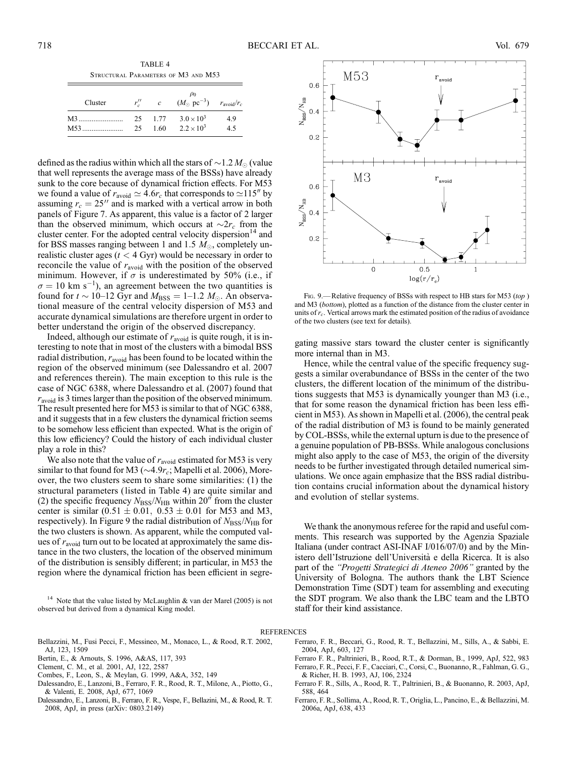TABLE 4 Structural Parameters of M3 and M53

| Cluster |     | $r''_c$ c | $\rho_0$<br>$(M_{\odot} \text{ pc}^{-3})$ $r_{\text{avoid}}/r_c$ |     |
|---------|-----|-----------|------------------------------------------------------------------|-----|
| M3      |     | 25 1.77   | $3.0 \times 10^{3}$                                              | 4.9 |
|         | 25. | 1.60      | $2.2 \times 10^3$                                                | 4.5 |

defined as the radius within which all the stars of  $\sim$  1.2  $M_{\odot}$  (value that well represents the average mass of the BSSs) have already sunk to the core because of dynamical friction effects. For M53 we found a value of  $r_{\text{avoid}} \simeq 4.6r_c$  that corresponds to  $\simeq$ 115<sup>*n*</sup> by assuming  $r_c = 25$ <sup>"</sup> and is marked with a vertical arrow in both panels of Figure 7. As apparent, this value is a factor of 2 larger than the observed minimum, which occurs at  $\sim 2r_c$  from the cluster center. For the adopted central velocity dispersion<sup>14</sup> and for BSS masses ranging between 1 and 1.5  $M_{\odot}$ , completely unrealistic cluster ages  $(t < 4 \text{ Gyr})$  would be necessary in order to reconcile the value of  $r_{\text{avoid}}$  with the position of the observed minimum. However, if  $\sigma$  is underestimated by 50% (i.e., if  $\sigma = 10$  km s<sup>-1</sup>), an agreement between the two quantities is found for  $t \sim 10-12$  Gyr and  $M_{\text{BSS}} = 1-1.2$   $M_{\odot}$ . An observational measure of the central velocity dispersion of M53 and accurate dynamical simulations are therefore urgent in order to better understand the origin of the observed discrepancy.

Indeed, although our estimate of  $r_{\text{avoid}}$  is quite rough, it is interesting to note that in most of the clusters with a bimodal BSS radial distribution,  $r_{\text{avoid}}$  has been found to be located within the region of the observed minimum (see Dalessandro et al. 2007 and references therein). The main exception to this rule is the case of NGC 6388, where Dalessandro et al. (2007) found that  $r<sub>avoid</sub>$  is 3 times larger than the position of the observed minimum. The result presented here for M53 is similar to that of NGC 6388, and it suggests that in a few clusters the dynamical friction seems to be somehow less efficient than expected. What is the origin of this low efficiency? Could the history of each individual cluster play a role in this?

We also note that the value of  $r_{\text{avoid}}$  estimated for M53 is very similar to that found for M3 ( $\sim$ 4.9 $r_c$ ; Mapelli et al. 2006), Moreover, the two clusters seem to share some similarities: (1) the structural parameters (listed in Table 4) are quite similar and (2) the specific frequency  $N_{\rm BSS}/N_{\rm HB}$  within 20<sup>"</sup> from the cluster center is similar  $(0.51 \pm 0.01, 0.53 \pm 0.01)$  for M53 and M3, respectively). In Figure 9 the radial distribution of  $N_{\rm BSS}/N_{\rm HB}$  for the two clusters is shown. As apparent, while the computed values of  $r_{\text{avoid}}$  turn out to be located at approximately the same distance in the two clusters, the location of the observed minimum of the distribution is sensibly different; in particular, in M53 the region where the dynamical friction has been efficient in segre-

<sup>14</sup> Note that the value listed by McLaughlin & van der Marel (2005) is not observed but derived from a dynamical King model.



FIG. 9.—Relative frequency of BSSs with respect to HB stars for M53 (top) and M3 (bottom), plotted as a function of the distance from the cluster center in units of  $r_c$ . Vertical arrows mark the estimated position of the radius of avoidance of the two clusters (see text for details).

gating massive stars toward the cluster center is significantly more internal than in M3.

Hence, while the central value of the specific frequency suggests a similar overabundance of BSSs in the center of the two clusters, the different location of the minimum of the distributions suggests that M53 is dynamically younger than M3 (i.e., that for some reason the dynamical friction has been less efficient in M53). As shown in Mapelli et al. (2006), the central peak of the radial distribution of M3 is found to be mainly generated by COL-BSSs, while the external upturn is due to the presence of a genuine population of PB-BSSs. While analogous conclusions might also apply to the case of M53, the origin of the diversity needs to be further investigated through detailed numerical simulations. We once again emphasize that the BSS radial distribution contains crucial information about the dynamical history and evolution of stellar systems.

We thank the anonymous referee for the rapid and useful comments. This research was supported by the Agenzia Spaziale Italiana (under contract ASI-INAF I/016/07/0) and by the Ministero dell'Istruzione dell'Universita` e della Ricerca. It is also part of the ''Progetti Strategici di Ateneo 2006'' granted by the University of Bologna. The authors thank the LBT Science Demonstration Time (SDT ) team for assembling and executing the SDT program. We also thank the LBC team and the LBTO staff for their kind assistance.

#### REFERENCES

- Bellazzini, M., Fusi Pecci, F., Messineo, M., Monaco, L., & Rood, R.T. 2002, AJ, 123, 1509
- Bertin, E., & Arnouts, S. 1996, A&AS, 117, 393
- Clement, C. M., et al. 2001, AJ, 122, 2587
- Combes, F., Leon, S., & Meylan, G. 1999, A&A, 352, 149
- Dalessandro, E., Lanzoni, B., Ferraro, F. R., Rood, R. T., Milone, A., Piotto, G., & Valenti, E. 2008, ApJ, 677, 1069
- Dalessandro, E., Lanzoni, B., Ferraro, F. R., Vespe, F., Bellazini, M., & Rood, R. T. 2008, ApJ, in press (arXiv: 0803.2149)
- Ferraro, F. R., Beccari, G., Rood, R. T., Bellazzini, M., Sills, A., & Sabbi, E. 2004, ApJ, 603, 127
- Ferraro F. R., Paltrinieri, B., Rood, R.T., & Dorman, B., 1999, ApJ, 522, 983 Ferraro, F. R., Pecci, F. F., Cacciari, C., Corsi, C., Buonanno, R., Fahlman, G. G., & Richer, H. B. 1993, AJ, 106, 2324
- Ferraro F. R., Sills, A., Rood, R. T., Paltrinieri, B., & Buonanno, R. 2003, ApJ, 588, 464
- Ferraro, F. R., Sollima, A., Rood, R. T., Origlia, L., Pancino, E., & Bellazzini, M. 2006a, ApJ, 638, 433